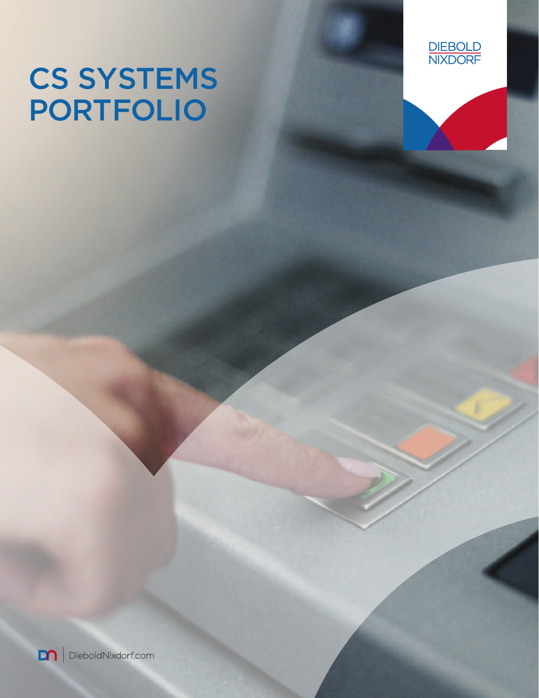# CS SYSTEMS PORTFOLIO



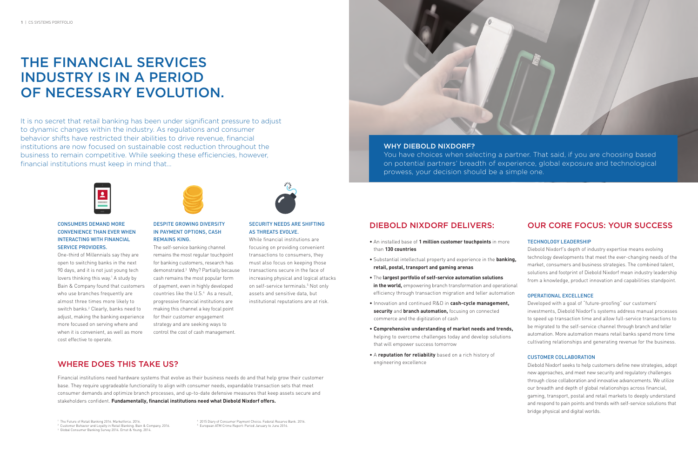# THE FINANCIAL SERVICES INDUSTRY IS IN A PERIOD OF NECESSARY EVOLUTION.

It is no secret that retail banking has been under significant pressure to adjust to dynamic changes within the industry. As regulations and consumer behavior shifts have restricted their abilities to drive revenue, financial institutions are now focused on sustainable cost reduction throughout the business to remain competitive. While seeking these efficiencies, however, financial institutions must keep in mind that…



### CONSUMERS DEMAND MORE CONVENIENCE THAN EVER WHEN INTERACTING WITH FINANCIAL SERVICE PROVIDERS.

One-third of Millennials say they are open to switching banks in the next 90 days, and it is not just young tech lovers thinking this way.<sup>1</sup> A study by Bain & Company found that customers who use branches frequently are almost three times more likely to switch banks.2 Clearly, banks need to adjust, making the banking experience more focused on serving where and when it is convenient, as well as more cost effective to operate.



#### DESPITE GROWING DIVERSITY IN PAYMENT OPTIONS, CASH REMAINS KING.

The self-service banking channel remains the most regular touchpoint for banking customers, research has demonstrated.3 Why? Partially because cash remains the most popular form of payment, even in highly developed countries like the U.S.4 As a result, progressive financial institutions are making this channel a key focal point for their customer engagement strategy and are seeking ways to control the cost of cash management.



#### SECURITY NEEDS ARE SHIFTING AS THREATS EVOLVE.

While financial institutions are focusing on providing convenient transactions to consumers, they must also focus on keeping those transactions secure in the face of increasing physical and logical attacks on self-service terminals.<sup>5</sup> Not only assets and sensitive data, but institutional reputations are at risk.



## DIEBOLD NIXDORF DELIVERS:

- An installed base of **1 million customer touchpoints** in more than **130 countries**
- Substantial intellectual property and experience in the **banking, retail, postal, transport and gaming arenas**
- The **largest portfolio of self-service automation solutions in the world,** empowering branch transformation and operational efficiency through transaction migration and teller automation
- Innovation and continued R&D in **cash-cycle management, security** and **branch automation,** focusing on connected commerce and the digitization of cash
- **Comprehensive understanding of market needs and trends,** helping to overcome challenges today and develop solutions that will empower success tomorrow
- A **reputation for reliability** based on a rich history of engineering excellence

## OUR CORE FOCUS: YOUR SUCCESS

#### TECHNOLOGY LEADERSHIP

Diebold Nixdorf's depth of industry expertise means evolving technology developments that meet the ever-changing needs of the market, consumers and business strategies. The combined talent, solutions and footprint of Diebold Nixdorf mean industry leadership from a knowledge, product innovation and capabilities standpoint.

#### OPERATIONAL EXCELLENCE

Developed with a goal of "future-proofing" our customers' investments, Diebold Nixdorf's systems address manual processes to speed up transaction time and allow full-service transactions to be migrated to the self-service channel through branch and teller automation. More automation means retail banks spend more time cultivating relationships and generating revenue for the business.

#### CUSTOMER COLLABORATION

Diebold Nixdorf seeks to help customers define new strategies, adopt new approaches, and meet new security and regulatory challenges through close collaboration and innovative advancements. We utilize our breadth and depth of global relationships across financial, gaming, transport, postal and retail markets to deeply understand and respond to pain points and trends with self-service solutions that bridge physical and digital worlds.

### WHY DIEBOLD NIXDORF?

You have choices when selecting a partner. That said, if you are choosing based on potential partners' breadth of experience, global exposure and technological prowess, your decision should be a simple one.

4 2015 Diary of Consumer Payment Choice. Federal Reserve Bank. 2016. 5 European ATM Crime Report: Period January to June 2016.

## WHERE DOES THIS TAKE US?

Financial institutions need hardware systems that evolve as their business needs do and that help grow their customer base. They require upgradeable functionality to align with consumer needs, expandable transaction sets that meet consumer demands and optimize branch processes, and up-to-date defensive measures that keep assets secure and stakeholders confident. **Fundamentally, financial institutions need what Diebold Nixdorf offers.**

<sup>1</sup> The Future of Retail Banking 2016. Marketforce. 2016.

<sup>2</sup> Customer Behavior and Loyalty in Retail Banking. Bain & Company. 2016.

<sup>3</sup> Global Consumer Banking Survey 2014. Ernst & Young. 2014.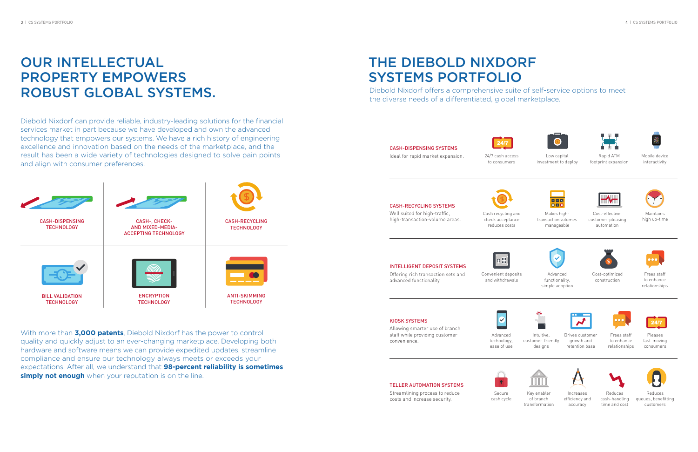

24/7 cash access to consumers



Low capital investment to deploy



Rapid ATM footprint expansion



Mobile device interactivity



reduces costs

Convenient deposits and withdrawals

 $\lceil \circ \mathbb{H} \rceil$ 

Advanced technology, ease of use

 $\overline{\mathbf{v}}$ 





Makes hightransaction volumes manageable



Advanced functionality, simple adoption

# **OUR INTELLECTUAL** PROPERTY EMPOWERS ROBUST GLOBAL SYSTEMS.



Intuitive, customer-friendly designs



Key enabler of branch transformation



Cost-effective, customer-pleasing automation



Cost-optimized construction



Drives customer growth and retention base

With more than **3,000 patents**, Diebold Nixdorf has the power to control quality and quickly adjust to an ever-changing marketplace. Developing both hardware and software means we can provide expedited updates, streamline compliance and ensure our technology always meets or exceeds your expectations. After all, we understand that **98-percent reliability is sometimes simply not enough** when your reputation is on the line.



Increases efficiency and accuracy



Maintains high up-time



Frees staff to enhance relationships



Frees staff to enhance relationships



Reduces cash-handling time and cost



Pleases fast-moving consumers



Reduces queues, benefitting customers

Diebold Nixdorf can provide reliable, industry-leading solutions for the financial services market in part because we have developed and own the advanced technology that empowers our systems. We have a rich history of engineering excellence and innovation based on the needs of the marketplace, and the result has been a wide variety of technologies designed to solve pain points and align with consumer preferences.

# THE DIEBOLD NIXDORF SYSTEMS PORTFOLIO Diebold Nixdorf offers a comprehensive suite of self-service options to meet the diverse needs of a differentiated, global marketplace.

#### CASH-DISPENSING SYSTEMS

Ideal for rapid market expansion.



#### CASH-RECYCLING SYSTEMS

Well suited for high-traffic, high-transaction-volume areas.

### INTELLIGENT DEPOSIT SYSTEMS

Offering rich transaction sets and advanced functionality.

#### KIOSK SYSTEMS

Allowing smarter use of branch staff while providing customer convenience.



### TELLER AUTOMATION SYSTEMS Streamlining process to reduce

costs and increase security.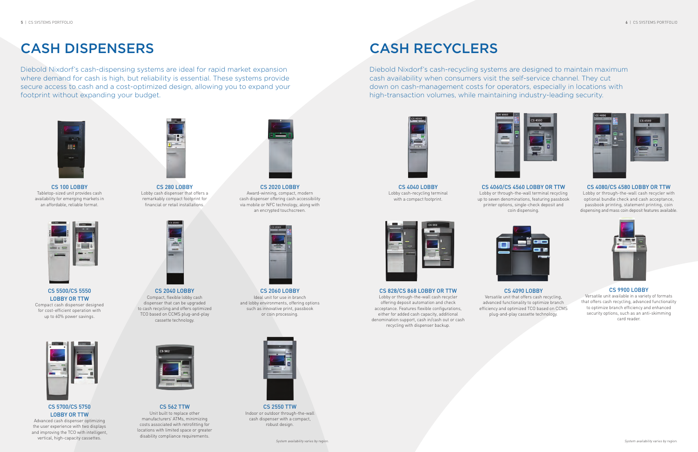# CASH DISPENSERS CASH RECYCLERS

Diebold Nixdorf's cash-dispensing systems are ideal for rapid market expansion where demand for cash is high, but reliability is essential. These systems provide secure access to cash and a cost-optimized design, allowing you to expand your footprint without expanding your budget.

Diebold Nixdorf's cash-recycling systems are designed to maintain maximum cash availability when consumers visit the self-service channel. They cut down on cash-management costs for operators, especially in locations with high-transaction volumes, while maintaining industry-leading security.







CS 100 LOBBY Tabletop-sized unit provides cash availability for emerging markets in an affordable, reliable format.



CS 280 LOBBY Lobby cash dispenser that offers a remarkably compact footprint for financial or retail installations.



CS 2020 LOBBY Award-winning, compact, modern cash dispenser offering cash accessibility via mobile or NFC technology, along with an encrypted touchscreen.

CS 4040 LOBBY Lobby cash-recycling terminal with a compact footprint.



CS 5500/CS 5550 LOBBY OR TTW Compact cash dispenser designed for cost-efficient operation with up to 60% power savings.



CS 2040 LOBBY Compact, flexible lobby cash dispenser that can be upgraded to cash recycling and offers optimized TCO based on CCMS plug-and-play cassette technology.



CS 2060 LOBBY Ideal unit for use in branch and lobby environments, offering options such as innovative print, passbook or coin processing.



CS 5700/CS 5750 LOBBY OR TTW

Advanced cash dispenser optimizing the user experience with two displays and improving the TCO with intelligent, vertical, high-capacity cassettes.



CS 562 TTW Unit built to replace other manufacturers' ATMs, minimizing costs associated with retrofitting for locations with limited space or greater disability compliance requirements.



Indoor or outdoor through-the-wall cash dispenser with a compact, robust design.

Lobby or through-the-wall terminal recycling up to seven denominations, featuring passbook printer options, single-check deposit and coin dispensing.



#### CS 4080/CS 4580 LOBBY OR TTW

Lobby or through-the-wall cash recycler with optional bundle check and cash acceptance, passbook printing, statement printing, coin dispensing and mass coin deposit features available.

CS 828/CS 868 LOBBY OR TTW

Lobby or through-the-wall cash recycler offering deposit automation and check acceptance. Features flexible configurations, either for added cash capacity, additional denomination support, cash in/cash out or cash recycling with dispenser backup.





### CS 4060/CS 4560 LOBBY OR TTW

#### CS 4090 LOBBY

Versatile unit that offers cash recycling, advanced functionality to optimize branch efficiency and optimized TCO based on CCMS plug-and-play cassette technology.



### CS 9900 LOBBY

Versatile unit available in a variety of formats that offers cash recycling, advanced functionality to optimize branch efficiency and enhanced security options, such as an anti-skimming card reader.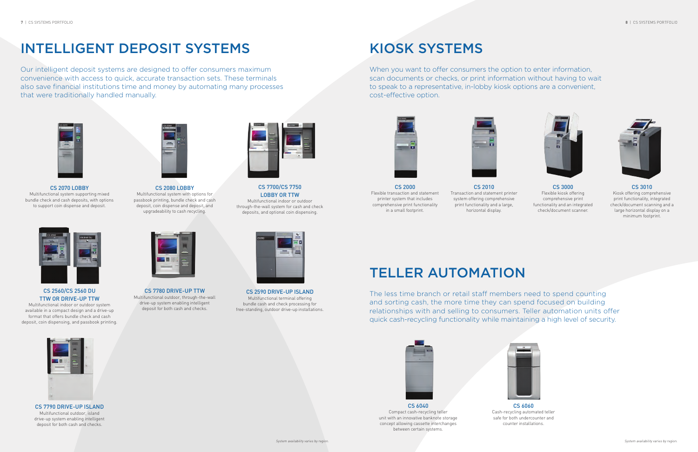# INTELLIGENT DEPOSIT SYSTEMS KIOSK SYSTEMS



Our intelligent deposit systems are designed to offer consumers maximum convenience with access to quick, accurate transaction sets. These terminals also save financial institutions time and money by automating many processes that were traditionally handled manually.

When you want to offer consumers the option to enter information, scan documents or checks, or print information without having to wait to speak to a representative, in-lobby kiosk options are a convenient, cost-effective option.





The less time branch or retail staff members need to spend counting and sorting cash, the more time they can spend focused on building relationships with and selling to consumers. Teller automation units offer quick cash-recycling functionality while maintaining a high level of security.







CS 2070 LOBBY

Multifunctional system supporting mixed bundle check and cash deposits, with options to support coin dispense and deposit.



CS 2080 LOBBY Multifunctional system with options for passbook printing, bundle check and cash deposit, coin dispense and deposit, and upgradeability to cash recycling.



CS 7700/CS 7750 LOBBY OR TTW

Multifunctional indoor or outdoor through-the-wall system for cash and check deposits, and optional coin dispensing.



CS 2560/CS 2560 DU TTW OR DRIVE-UP TTW

Multifunctional indoor or outdoor system available in a compact design and a drive-up format that offers bundle check and cash deposit, coin dispensing, and passbook printing.



CS 7780 DRIVE-UP TTW Multifunctional outdoor, through-the-wall drive-up system enabling intelligent deposit for both cash and checks.



CS 2590 DRIVE-UP ISLAND Multifunctional terminal offering bundle cash and check processing for free-standing, outdoor drive-up installations.



CS 7790 DRIVE-UP ISLAND Multifunctional outdoor, island drive-up system enabling intelligent deposit for both cash and checks.



CS 2000 Flexible transaction and statement printer system that includes comprehensive print functionality in a small footprint.

CS 2010 Transaction and statement printer system offering comprehensive print functionality and a large, horizontal display.

CS 3000 Flexible kiosk offering comprehensive print functionality and an integrated check/document scanner.



#### CS 3010

Kiosk offering comprehensive print functionality, integrated check/document scanning and a large horizontal display on a minimum footprint.

CS 6040 Compact cash-recycling teller unit with an innovative banknote storage concept allowing cassette interchanges between certain systems.



CS 6060 Cash-recycling automated teller safe for both undercounter and counter installations.